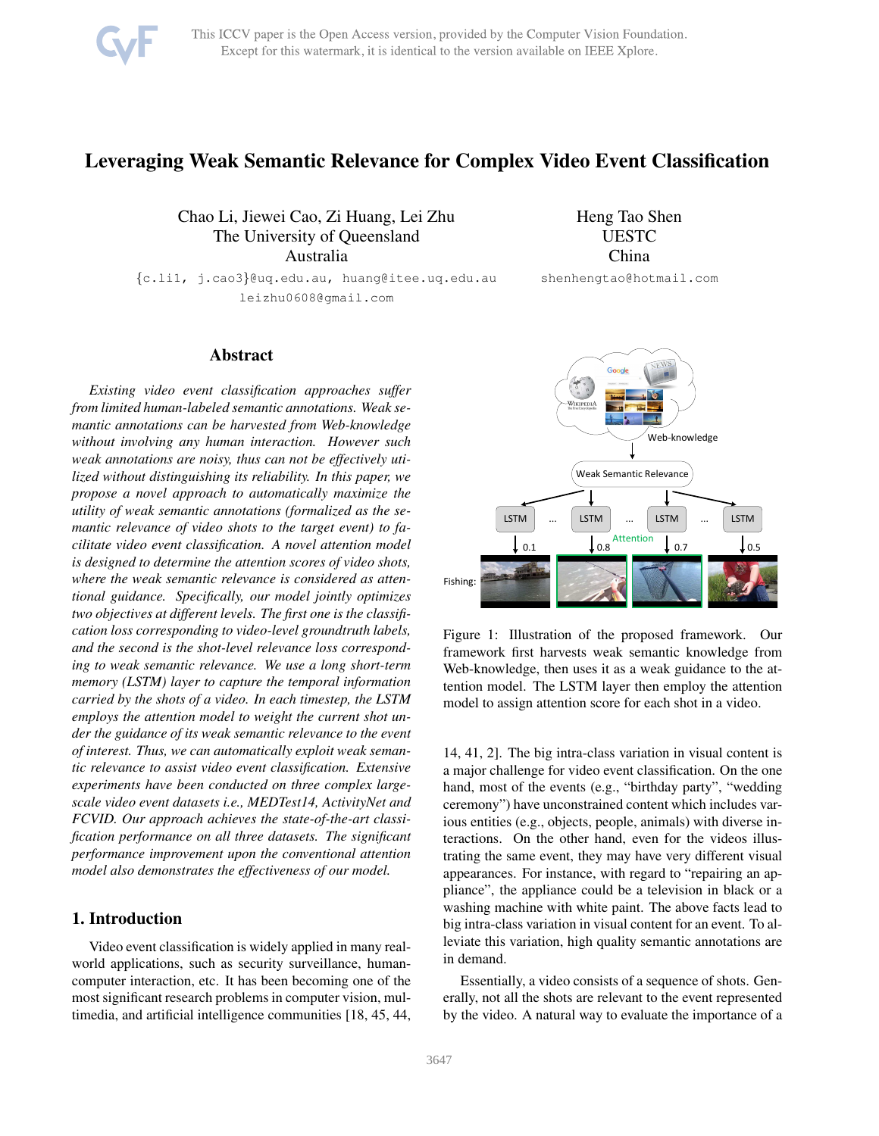

# Leveraging Weak Semantic Relevance for Complex Video Event Classification

Chao Li, Jiewei Cao, Zi Huang, Lei Zhu The University of Queensland Australia

{c.li1, j.cao3}@uq.edu.au, huang@itee.uq.edu.au leizhu0608@gmail.com

Heng Tao Shen **UESTC** China shenhengtao@hotmail.com

#### Abstract

*Existing video event classification approaches suffer from limited human-labeled semantic annotations. Weak semantic annotations can be harvested from Web-knowledge without involving any human interaction. However such weak annotations are noisy, thus can not be effectively utilized without distinguishing its reliability. In this paper, we propose a novel approach to automatically maximize the utility of weak semantic annotations (formalized as the semantic relevance of video shots to the target event) to facilitate video event classification. A novel attention model is designed to determine the attention scores of video shots, where the weak semantic relevance is considered as attentional guidance. Specifically, our model jointly optimizes two objectives at different levels. The first one is the classification loss corresponding to video-level groundtruth labels, and the second is the shot-level relevance loss corresponding to weak semantic relevance. We use a long short-term memory (LSTM) layer to capture the temporal information carried by the shots of a video. In each timestep, the LSTM employs the attention model to weight the current shot under the guidance of its weak semantic relevance to the event of interest. Thus, we can automatically exploit weak semantic relevance to assist video event classification. Extensive experiments have been conducted on three complex largescale video event datasets i.e., MEDTest14, ActivityNet and FCVID. Our approach achieves the state-of-the-art classification performance on all three datasets. The significant performance improvement upon the conventional attention model also demonstrates the effectiveness of our model.*

### 1. Introduction

Video event classification is widely applied in many realworld applications, such as security surveillance, humancomputer interaction, etc. It has been becoming one of the most significant research problems in computer vision, multimedia, and artificial intelligence communities [18, 45, 44,



Figure 1: Illustration of the proposed framework. Our framework first harvests weak semantic knowledge from Web-knowledge, then uses it as a weak guidance to the attention model. The LSTM layer then employ the attention model to assign attention score for each shot in a video.

14, 41, 2]. The big intra-class variation in visual content is a major challenge for video event classification. On the one hand, most of the events (e.g., "birthday party", "wedding ceremony") have unconstrained content which includes various entities (e.g., objects, people, animals) with diverse interactions. On the other hand, even for the videos illustrating the same event, they may have very different visual appearances. For instance, with regard to "repairing an appliance", the appliance could be a television in black or a washing machine with white paint. The above facts lead to big intra-class variation in visual content for an event. To alleviate this variation, high quality semantic annotations are in demand.

Essentially, a video consists of a sequence of shots. Generally, not all the shots are relevant to the event represented by the video. A natural way to evaluate the importance of a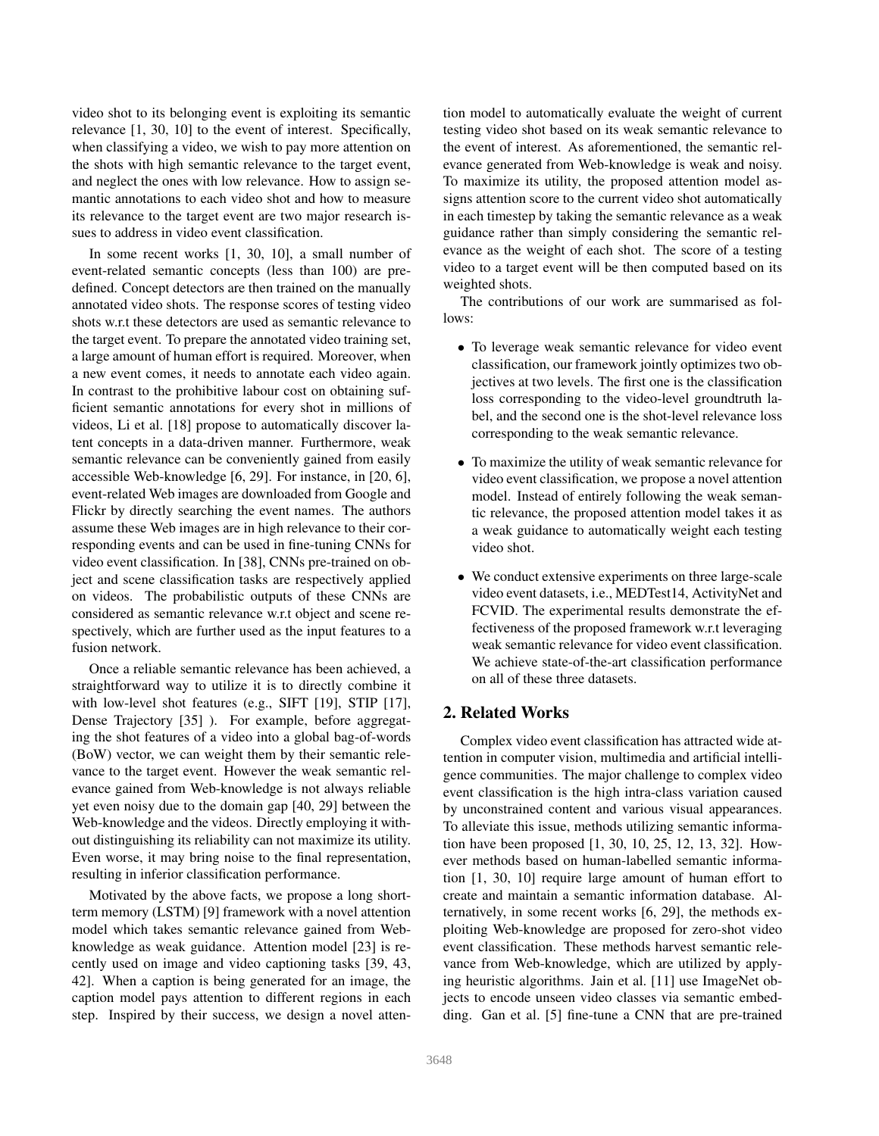video shot to its belonging event is exploiting its semantic relevance [1, 30, 10] to the event of interest. Specifically, when classifying a video, we wish to pay more attention on the shots with high semantic relevance to the target event, and neglect the ones with low relevance. How to assign semantic annotations to each video shot and how to measure its relevance to the target event are two major research issues to address in video event classification.

In some recent works [1, 30, 10], a small number of event-related semantic concepts (less than 100) are predefined. Concept detectors are then trained on the manually annotated video shots. The response scores of testing video shots w.r.t these detectors are used as semantic relevance to the target event. To prepare the annotated video training set, a large amount of human effort is required. Moreover, when a new event comes, it needs to annotate each video again. In contrast to the prohibitive labour cost on obtaining sufficient semantic annotations for every shot in millions of videos, Li et al. [18] propose to automatically discover latent concepts in a data-driven manner. Furthermore, weak semantic relevance can be conveniently gained from easily accessible Web-knowledge [6, 29]. For instance, in [20, 6], event-related Web images are downloaded from Google and Flickr by directly searching the event names. The authors assume these Web images are in high relevance to their corresponding events and can be used in fine-tuning CNNs for video event classification. In [38], CNNs pre-trained on object and scene classification tasks are respectively applied on videos. The probabilistic outputs of these CNNs are considered as semantic relevance w.r.t object and scene respectively, which are further used as the input features to a fusion network.

Once a reliable semantic relevance has been achieved, a straightforward way to utilize it is to directly combine it with low-level shot features (e.g., SIFT [19], STIP [17], Dense Trajectory [35] ). For example, before aggregating the shot features of a video into a global bag-of-words (BoW) vector, we can weight them by their semantic relevance to the target event. However the weak semantic relevance gained from Web-knowledge is not always reliable yet even noisy due to the domain gap [40, 29] between the Web-knowledge and the videos. Directly employing it without distinguishing its reliability can not maximize its utility. Even worse, it may bring noise to the final representation, resulting in inferior classification performance.

Motivated by the above facts, we propose a long shortterm memory (LSTM) [9] framework with a novel attention model which takes semantic relevance gained from Webknowledge as weak guidance. Attention model [23] is recently used on image and video captioning tasks [39, 43, 42]. When a caption is being generated for an image, the caption model pays attention to different regions in each step. Inspired by their success, we design a novel attention model to automatically evaluate the weight of current testing video shot based on its weak semantic relevance to the event of interest. As aforementioned, the semantic relevance generated from Web-knowledge is weak and noisy. To maximize its utility, the proposed attention model assigns attention score to the current video shot automatically in each timestep by taking the semantic relevance as a weak guidance rather than simply considering the semantic relevance as the weight of each shot. The score of a testing video to a target event will be then computed based on its weighted shots.

The contributions of our work are summarised as follows:

- To leverage weak semantic relevance for video event classification, our framework jointly optimizes two objectives at two levels. The first one is the classification loss corresponding to the video-level groundtruth label, and the second one is the shot-level relevance loss corresponding to the weak semantic relevance.
- To maximize the utility of weak semantic relevance for video event classification, we propose a novel attention model. Instead of entirely following the weak semantic relevance, the proposed attention model takes it as a weak guidance to automatically weight each testing video shot.
- We conduct extensive experiments on three large-scale video event datasets, i.e., MEDTest14, ActivityNet and FCVID. The experimental results demonstrate the effectiveness of the proposed framework w.r.t leveraging weak semantic relevance for video event classification. We achieve state-of-the-art classification performance on all of these three datasets.

## 2. Related Works

Complex video event classification has attracted wide attention in computer vision, multimedia and artificial intelligence communities. The major challenge to complex video event classification is the high intra-class variation caused by unconstrained content and various visual appearances. To alleviate this issue, methods utilizing semantic information have been proposed [1, 30, 10, 25, 12, 13, 32]. However methods based on human-labelled semantic information [1, 30, 10] require large amount of human effort to create and maintain a semantic information database. Alternatively, in some recent works [6, 29], the methods exploiting Web-knowledge are proposed for zero-shot video event classification. These methods harvest semantic relevance from Web-knowledge, which are utilized by applying heuristic algorithms. Jain et al. [11] use ImageNet objects to encode unseen video classes via semantic embedding. Gan et al. [5] fine-tune a CNN that are pre-trained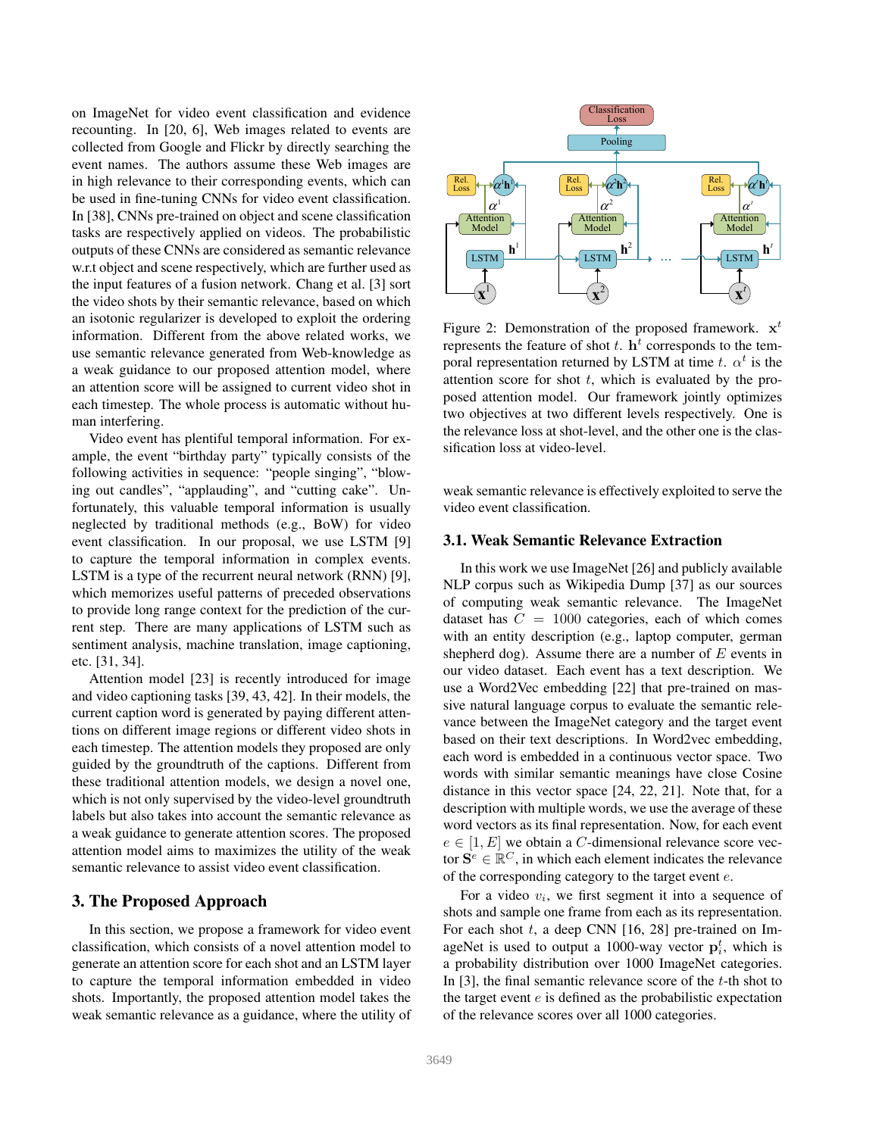on ImageNet for video event classification and evidence recounting. In [20, 6], Web images related to events are collected from Google and Flickr by directly searching the event names. The authors assume these Web images are in high relevance to their corresponding events, which can be used in fine-tuning CNNs for video event classification. In [38], CNNs pre-trained on object and scene classification tasks are respectively applied on videos. The probabilistic outputs of these CNNs are considered as semantic relevance w.r.t object and scene respectively, which are further used as the input features of a fusion network. Chang et al. [3] sort the video shots by their semantic relevance, based on which an isotonic regularizer is developed to exploit the ordering information. Different from the above related works, we use semantic relevance generated from Web-knowledge as a weak guidance to our proposed attention model, where an attention score will be assigned to current video shot in each timestep. The whole process is automatic without human interfering.

Video event has plentiful temporal information. For example, the event "birthday party" typically consists of the following activities in sequence: "people singing", "blowing out candles", "applauding", and "cutting cake". Unfortunately, this valuable temporal information is usually neglected by traditional methods (e.g., BoW) for video event classification. In our proposal, we use LSTM [9] to capture the temporal information in complex events. LSTM is a type of the recurrent neural network (RNN) [9], which memorizes useful patterns of preceded observations to provide long range context for the prediction of the current step. There are many applications of LSTM such as sentiment analysis, machine translation, image captioning, etc. [31, 34].

Attention model [23] is recently introduced for image and video captioning tasks [39, 43, 42]. In their models, the current caption word is generated by paying different attentions on different image regions or different video shots in each timestep. The attention models they proposed are only guided by the groundtruth of the captions. Different from these traditional attention models, we design a novel one, which is not only supervised by the video-level groundtruth labels but also takes into account the semantic relevance as a weak guidance to generate attention scores. The proposed attention model aims to maximizes the utility of the weak semantic relevance to assist video event classification.

### 3. The Proposed Approach

In this section, we propose a framework for video event classification, which consists of a novel attention model to generate an attention score for each shot and an LSTM layer to capture the temporal information embedded in video shots. Importantly, the proposed attention model takes the weak semantic relevance as a guidance, where the utility of



Figure 2: Demonstration of the proposed framework.  $x^t$ represents the feature of shot  $t$ .  $h<sup>t</sup>$  corresponds to the temporal representation returned by LSTM at time t.  $\alpha^t$  is the attention score for shot  $t$ , which is evaluated by the proposed attention model. Our framework jointly optimizes two objectives at two different levels respectively. One is the relevance loss at shot-level, and the other one is the classification loss at video-level.

weak semantic relevance is effectively exploited to serve the video event classification.

#### 3.1. Weak Semantic Relevance Extraction

In this work we use ImageNet [26] and publicly available NLP corpus such as Wikipedia Dump [37] as our sources of computing weak semantic relevance. The ImageNet dataset has  $C = 1000$  categories, each of which comes with an entity description (e.g., laptop computer, german shepherd dog). Assume there are a number of  $E$  events in our video dataset. Each event has a text description. We use a Word2Vec embedding [22] that pre-trained on massive natural language corpus to evaluate the semantic relevance between the ImageNet category and the target event based on their text descriptions. In Word2vec embedding, each word is embedded in a continuous vector space. Two words with similar semantic meanings have close Cosine distance in this vector space [24, 22, 21]. Note that, for a description with multiple words, we use the average of these word vectors as its final representation. Now, for each event  $e \in [1, E]$  we obtain a *C*-dimensional relevance score vector  $\mathbf{S}^e \in \mathbb{R}^C$ , in which each element indicates the relevance of the corresponding category to the target event  $e$ .

For a video  $v_i$ , we first segment it into a sequence of shots and sample one frame from each as its representation. For each shot  $t$ , a deep CNN [16, 28] pre-trained on ImageNet is used to output a 1000-way vector  $p_i^t$ , which is a probability distribution over 1000 ImageNet categories. In  $[3]$ , the final semantic relevance score of the t-th shot to the target event  $e$  is defined as the probabilistic expectation of the relevance scores over all 1000 categories.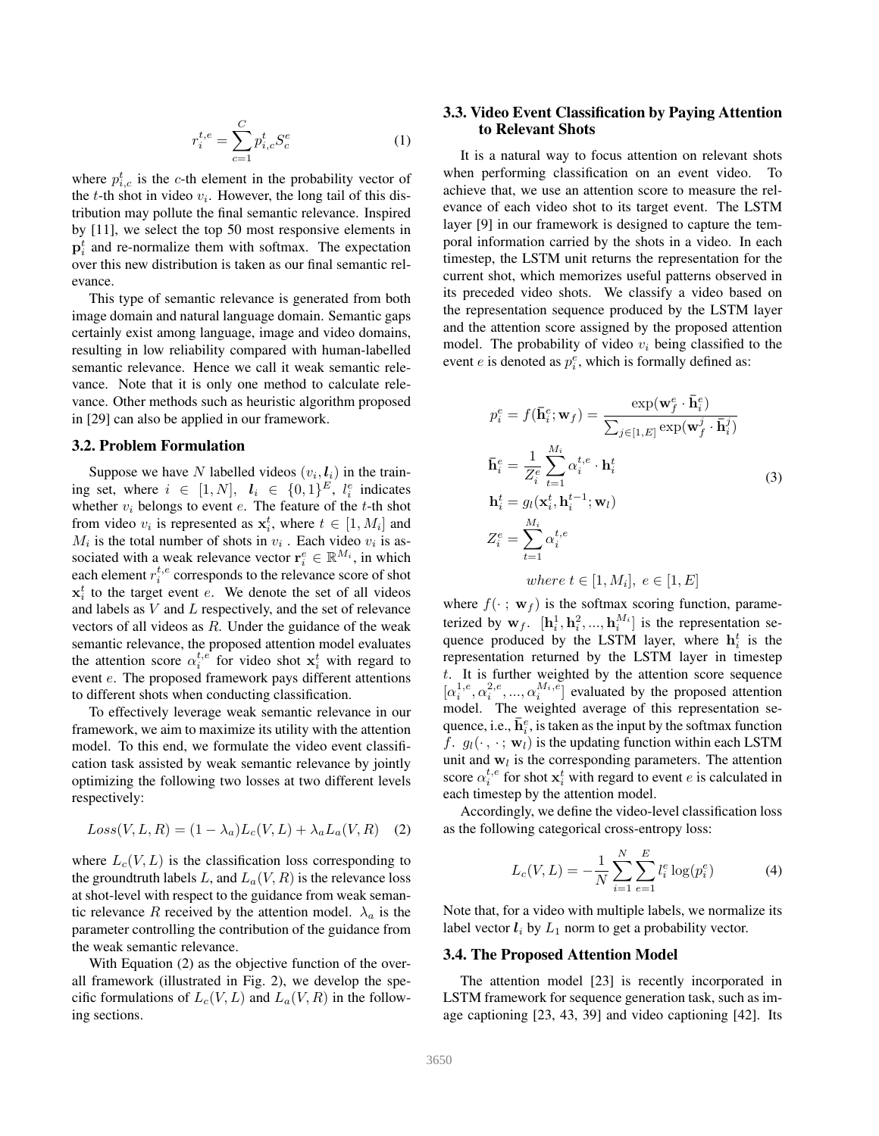$$
r_i^{t,e} = \sum_{c=1}^{C} p_{i,c}^t S_c^e
$$
 (1)

where  $p_{i,c}^{t}$  is the c-th element in the probability vector of the t-th shot in video  $v_i$ . However, the long tail of this distribution may pollute the final semantic relevance. Inspired by [11], we select the top 50 most responsive elements in  $\mathbf{p}_i^t$  and re-normalize them with softmax. The expectation over this new distribution is taken as our final semantic relevance.

This type of semantic relevance is generated from both image domain and natural language domain. Semantic gaps certainly exist among language, image and video domains, resulting in low reliability compared with human-labelled semantic relevance. Hence we call it weak semantic relevance. Note that it is only one method to calculate relevance. Other methods such as heuristic algorithm proposed in [29] can also be applied in our framework.

#### 3.2. Problem Formulation

Suppose we have N labelled videos  $(v_i, l_i)$  in the training set, where  $i \in [1, N], \mathbf{l}_i \in \{0, 1\}^E, \mathbf{l}_i^e$  indicates whether  $v_i$  belongs to event  $e$ . The feature of the t-th shot from video  $v_i$  is represented as  $\mathbf{x}_i^t$ , where  $t \in [1, M_i]$  and  $M_i$  is the total number of shots in  $v_i$ . Each video  $v_i$  is associated with a weak relevance vector  $\mathbf{r}_i^e \in \mathbb{R}^{M_i}$ , in which each element  $r_i^{t,e}$  corresponds to the relevance score of shot  $x_i^t$  to the target event e. We denote the set of all videos and labels as V and L respectively, and the set of relevance vectors of all videos as  $R$ . Under the guidance of the weak semantic relevance, the proposed attention model evaluates the attention score  $\alpha_i^{t,e}$  for video shot  $\mathbf{x}_i^t$  with regard to event e. The proposed framework pays different attentions to different shots when conducting classification.

To effectively leverage weak semantic relevance in our framework, we aim to maximize its utility with the attention model. To this end, we formulate the video event classification task assisted by weak semantic relevance by jointly optimizing the following two losses at two different levels respectively:

$$
Loss(V, L, R) = (1 - \lambda_a)L_c(V, L) + \lambda_a L_a(V, R) \quad (2)
$$

where  $L_c(V, L)$  is the classification loss corresponding to the groundtruth labels L, and  $L_a(V, R)$  is the relevance loss at shot-level with respect to the guidance from weak semantic relevance R received by the attention model.  $\lambda_a$  is the parameter controlling the contribution of the guidance from the weak semantic relevance.

With Equation (2) as the objective function of the overall framework (illustrated in Fig. 2), we develop the specific formulations of  $L_c(V, L)$  and  $L_a(V, R)$  in the following sections.

### 3.3. Video Event Classification by Paying Attention to Relevant Shots

It is a natural way to focus attention on relevant shots when performing classification on an event video. To achieve that, we use an attention score to measure the relevance of each video shot to its target event. The LSTM layer [9] in our framework is designed to capture the temporal information carried by the shots in a video. In each timestep, the LSTM unit returns the representation for the current shot, which memorizes useful patterns observed in its preceded video shots. We classify a video based on the representation sequence produced by the LSTM layer and the attention score assigned by the proposed attention model. The probability of video  $v_i$  being classified to the event *e* is denoted as  $p_i^e$ , which is formally defined as:

$$
p_i^e = f(\bar{\mathbf{h}}_i^e; \mathbf{w}_f) = \frac{\exp(\mathbf{w}_f^e \cdot \bar{\mathbf{h}}_i^e)}{\sum_{j \in [1, E]} \exp(\mathbf{w}_f^j \cdot \bar{\mathbf{h}}_i^j)}
$$
  
\n
$$
\bar{\mathbf{h}}_i^e = \frac{1}{Z_i^e} \sum_{t=1}^{M_i} \alpha_i^{t,e} \cdot \mathbf{h}_i^t
$$
  
\n
$$
\mathbf{h}_i^t = g_l(\mathbf{x}_i^t, \mathbf{h}_i^{t-1}; \mathbf{w}_l)
$$
  
\n
$$
Z_i^e = \sum_{t=1}^{M_i} \alpha_i^{t,e}
$$
  
\nwhere  $t \in [1, M_i], e \in [1, E]$ 

where  $f(\cdot; \mathbf{w}_f)$  is the softmax scoring function, parameterized by  $w_f$ .  $[\mathbf{h}_i^1, \mathbf{h}_i^2, ..., \mathbf{h}_i^{M_i}]$  is the representation sequence produced by the LSTM layer, where  $h_i^t$  is the representation returned by the LSTM layer in timestep t. It is further weighted by the attention score sequence  $[\alpha_i^{1,e}, \alpha_i^{2,e}, ..., \alpha_i^{M_i,e}]$  evaluated by the proposed attention model. The weighted average of this representation sequence, i.e.,  $\bar{\mathbf{h}}_i^e$ , is taken as the input by the softmax function f.  $g_l(\cdot, \cdot; \mathbf{w}_l)$  is the updating function within each LSTM unit and  $w_l$  is the corresponding parameters. The attention score  $\alpha_i^{t,e}$  for shot  $\mathbf{x}_i^t$  with regard to event e is calculated in each timestep by the attention model.

Accordingly, we define the video-level classification loss as the following categorical cross-entropy loss:

$$
L_c(V, L) = -\frac{1}{N} \sum_{i=1}^{N} \sum_{e=1}^{E} l_i^e \log(p_i^e)
$$
 (4)

Note that, for a video with multiple labels, we normalize its label vector  $l_i$  by  $L_1$  norm to get a probability vector.

### 3.4. The Proposed Attention Model

The attention model [23] is recently incorporated in LSTM framework for sequence generation task, such as image captioning [23, 43, 39] and video captioning [42]. Its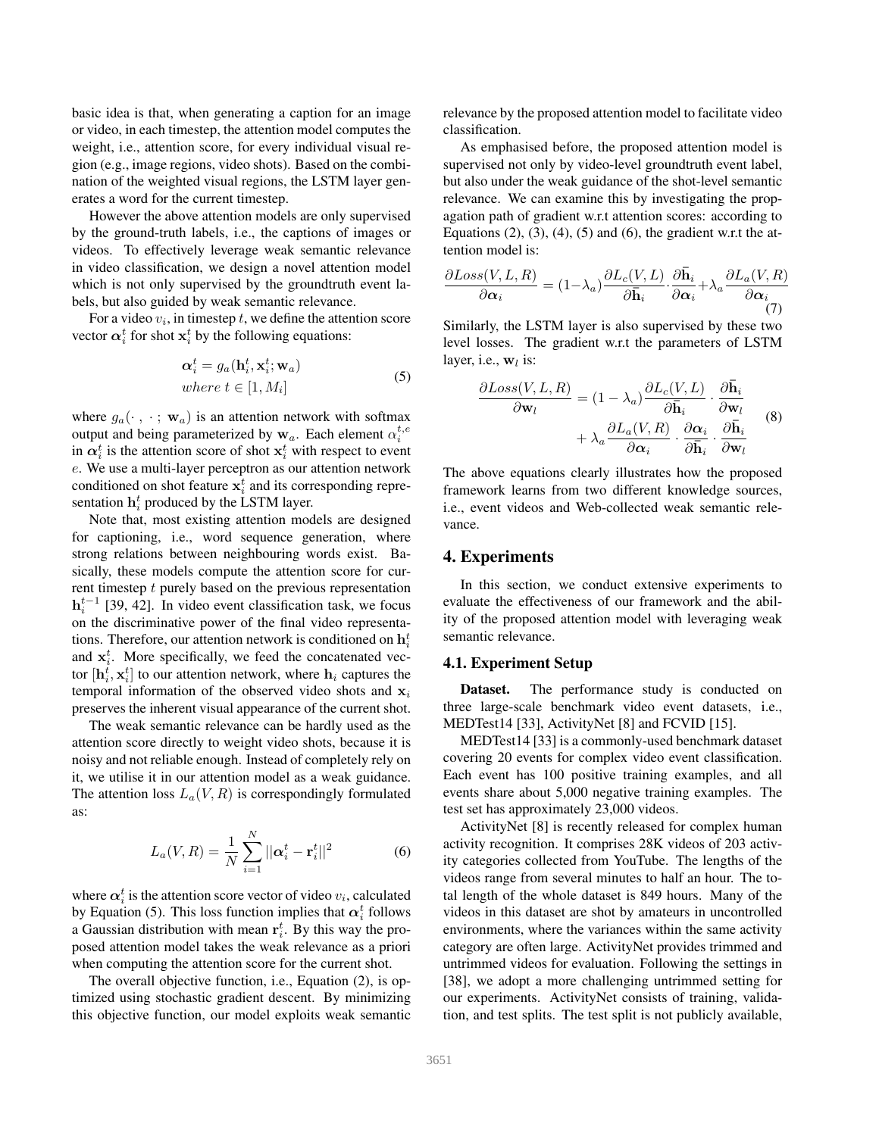basic idea is that, when generating a caption for an image or video, in each timestep, the attention model computes the weight, i.e., attention score, for every individual visual region (e.g., image regions, video shots). Based on the combination of the weighted visual regions, the LSTM layer generates a word for the current timestep.

However the above attention models are only supervised by the ground-truth labels, i.e., the captions of images or videos. To effectively leverage weak semantic relevance in video classification, we design a novel attention model which is not only supervised by the groundtruth event labels, but also guided by weak semantic relevance.

For a video  $v_i$ , in timestep t, we define the attention score vector  $\alpha_i^t$  for shot  $\mathbf{x}_i^t$  by the following equations:

$$
\alpha_i^t = g_a(\mathbf{h}_i^t, \mathbf{x}_i^t; \mathbf{w}_a)
$$
  
where  $t \in [1, M_i]$  (5)

where  $g_a(\cdot, \cdot; \mathbf{w}_a)$  is an attention network with softmax output and being parameterized by  $w_a$ . Each element  $\alpha_i^{t,e}$ in  $\alpha_i^t$  is the attention score of shot  $\mathbf{x}_i^t$  with respect to event e. We use a multi-layer perceptron as our attention network conditioned on shot feature  $\mathbf{x}_i^t$  and its corresponding representation  $\mathbf{h}_i^t$  produced by the LSTM layer.

Note that, most existing attention models are designed for captioning, i.e., word sequence generation, where strong relations between neighbouring words exist. Basically, these models compute the attention score for current timestep t purely based on the previous representation  $\mathbf{h}_{i}^{t-1}$  [39, 42]. In video event classification task, we focus on the discriminative power of the final video representations. Therefore, our attention network is conditioned on  $\mathbf{h}_i^t$ and  $x_i^t$ . More specifically, we feed the concatenated vector  $[\mathbf{h}_i^t, \mathbf{x}_i^t]$  to our attention network, where  $\mathbf{h}_i$  captures the temporal information of the observed video shots and  $x_i$ preserves the inherent visual appearance of the current shot.

The weak semantic relevance can be hardly used as the attention score directly to weight video shots, because it is noisy and not reliable enough. Instead of completely rely on it, we utilise it in our attention model as a weak guidance. The attention loss  $L_a(V, R)$  is correspondingly formulated as:

$$
L_a(V,R) = \frac{1}{N} \sum_{i=1}^{N} ||\mathbf{\alpha}_i^t - \mathbf{r}_i^t||^2
$$
 (6)

where  $\alpha_i^t$  is the attention score vector of video  $v_i$ , calculated by Equation (5). This loss function implies that  $\alpha_i^t$  follows a Gaussian distribution with mean  $\mathbf{r}_i^t$ . By this way the proposed attention model takes the weak relevance as a priori when computing the attention score for the current shot.

The overall objective function, i.e., Equation (2), is optimized using stochastic gradient descent. By minimizing this objective function, our model exploits weak semantic relevance by the proposed attention model to facilitate video classification.

As emphasised before, the proposed attention model is supervised not only by video-level groundtruth event label, but also under the weak guidance of the shot-level semantic relevance. We can examine this by investigating the propagation path of gradient w.r.t attention scores: according to Equations  $(2)$ ,  $(3)$ ,  $(4)$ ,  $(5)$  and  $(6)$ , the gradient w.r.t the attention model is:

$$
\frac{\partial Loss(V, L, R)}{\partial \alpha_i} = (1 - \lambda_a) \frac{\partial L_c(V, L)}{\partial \bar{\mathbf{h}}_i} \cdot \frac{\partial \bar{\mathbf{h}}_i}{\partial \alpha_i} + \lambda_a \frac{\partial L_a(V, R)}{\partial \alpha_i}
$$
\n(7)

Similarly, the LSTM layer is also supervised by these two level losses. The gradient w.r.t the parameters of LSTM layer, i.e.,  $w_l$  is:

$$
\frac{\partial Loss(V, L, R)}{\partial \mathbf{w}_l} = (1 - \lambda_a) \frac{\partial L_c(V, L)}{\partial \bar{\mathbf{h}}_i} \cdot \frac{\partial \bar{\mathbf{h}}_i}{\partial \mathbf{w}_l} + \lambda_a \frac{\partial L_a(V, R)}{\partial \alpha_i} \cdot \frac{\partial \alpha_i}{\partial \bar{\mathbf{h}}_i} \cdot \frac{\partial \bar{\mathbf{h}}_i}{\partial \mathbf{w}_l}
$$
(8)

The above equations clearly illustrates how the proposed framework learns from two different knowledge sources, i.e., event videos and Web-collected weak semantic relevance.

#### 4. Experiments

In this section, we conduct extensive experiments to evaluate the effectiveness of our framework and the ability of the proposed attention model with leveraging weak semantic relevance.

#### 4.1. Experiment Setup

Dataset. The performance study is conducted on three large-scale benchmark video event datasets, i.e., MEDTest14 [33], ActivityNet [8] and FCVID [15].

MEDTest14 [33] is a commonly-used benchmark dataset covering 20 events for complex video event classification. Each event has 100 positive training examples, and all events share about 5,000 negative training examples. The test set has approximately 23,000 videos.

ActivityNet [8] is recently released for complex human activity recognition. It comprises 28K videos of 203 activity categories collected from YouTube. The lengths of the videos range from several minutes to half an hour. The total length of the whole dataset is 849 hours. Many of the videos in this dataset are shot by amateurs in uncontrolled environments, where the variances within the same activity category are often large. ActivityNet provides trimmed and untrimmed videos for evaluation. Following the settings in [38], we adopt a more challenging untrimmed setting for our experiments. ActivityNet consists of training, validation, and test splits. The test split is not publicly available,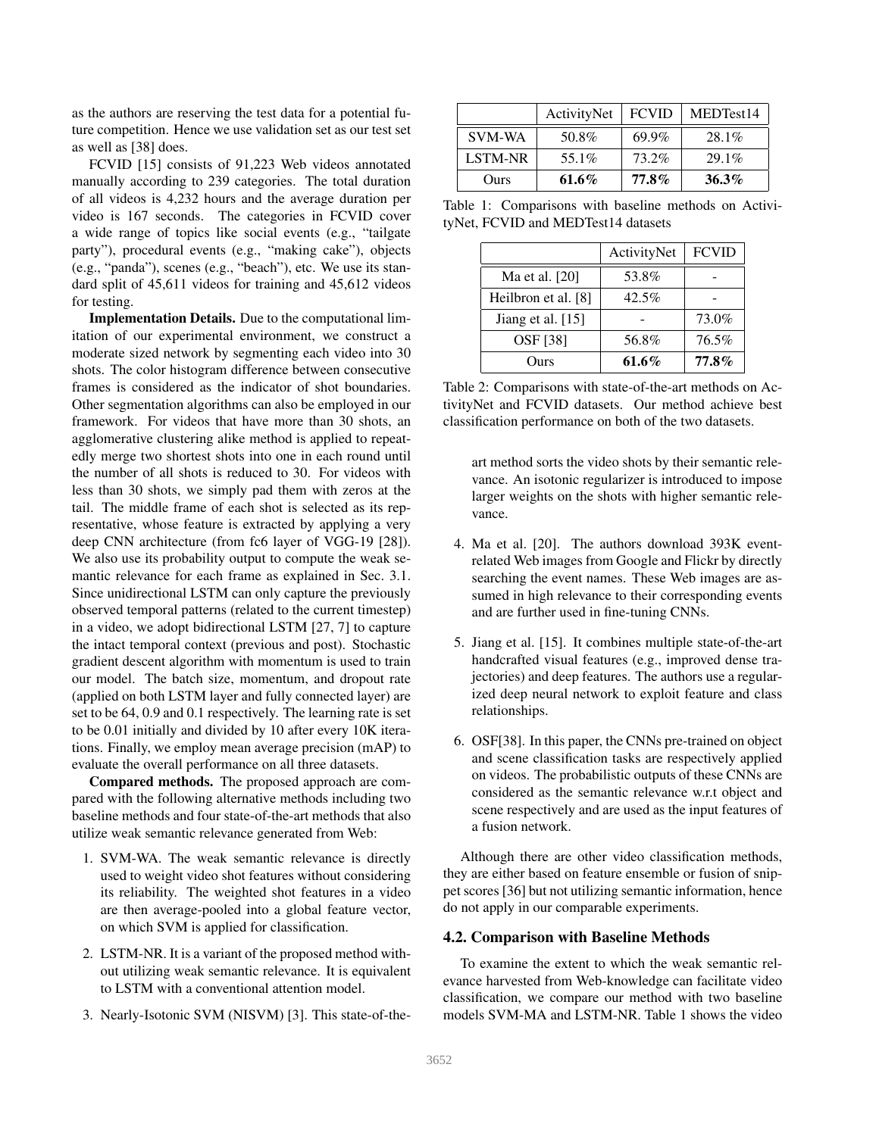as the authors are reserving the test data for a potential future competition. Hence we use validation set as our test set as well as [38] does.

FCVID [15] consists of 91,223 Web videos annotated manually according to 239 categories. The total duration of all videos is 4,232 hours and the average duration per video is 167 seconds. The categories in FCVID cover a wide range of topics like social events (e.g., "tailgate party"), procedural events (e.g., "making cake"), objects (e.g., "panda"), scenes (e.g., "beach"), etc. We use its standard split of 45,611 videos for training and 45,612 videos for testing.

Implementation Details. Due to the computational limitation of our experimental environment, we construct a moderate sized network by segmenting each video into 30 shots. The color histogram difference between consecutive frames is considered as the indicator of shot boundaries. Other segmentation algorithms can also be employed in our framework. For videos that have more than 30 shots, an agglomerative clustering alike method is applied to repeatedly merge two shortest shots into one in each round until the number of all shots is reduced to 30. For videos with less than 30 shots, we simply pad them with zeros at the tail. The middle frame of each shot is selected as its representative, whose feature is extracted by applying a very deep CNN architecture (from fc6 layer of VGG-19 [28]). We also use its probability output to compute the weak semantic relevance for each frame as explained in Sec. 3.1. Since unidirectional LSTM can only capture the previously observed temporal patterns (related to the current timestep) in a video, we adopt bidirectional LSTM [27, 7] to capture the intact temporal context (previous and post). Stochastic gradient descent algorithm with momentum is used to train our model. The batch size, momentum, and dropout rate (applied on both LSTM layer and fully connected layer) are set to be 64, 0.9 and 0.1 respectively. The learning rate is set to be 0.01 initially and divided by 10 after every 10K iterations. Finally, we employ mean average precision (mAP) to evaluate the overall performance on all three datasets.

Compared methods. The proposed approach are compared with the following alternative methods including two baseline methods and four state-of-the-art methods that also utilize weak semantic relevance generated from Web:

- 1. SVM-WA. The weak semantic relevance is directly used to weight video shot features without considering its reliability. The weighted shot features in a video are then average-pooled into a global feature vector, on which SVM is applied for classification.
- 2. LSTM-NR. It is a variant of the proposed method without utilizing weak semantic relevance. It is equivalent to LSTM with a conventional attention model.
- 3. Nearly-Isotonic SVM (NISVM) [3]. This state-of-the-

|                | ActivityNet | <b>FCVID</b> | MEDTest14 |
|----------------|-------------|--------------|-----------|
| <b>SVM-WA</b>  | 50.8%       | 69.9%        | 28.1%     |
| <b>LSTM-NR</b> | 55.1%       | 73.2%        | 29.1%     |
| Ours           | $61.6\%$    | 77.8%        | $36.3\%$  |

Table 1: Comparisons with baseline methods on ActivityNet, FCVID and MEDTest14 datasets

|                     | ActivityNet | <b>FCVID</b> |
|---------------------|-------------|--------------|
| Ma et al. [20]      | 53.8%       |              |
| Heilbron et al. [8] | 42.5%       |              |
| Jiang et al. $[15]$ |             | 73.0%        |
| OSF [38]            | 56.8%       | 76.5%        |
| <b>Durs</b>         | 61.6%       | 77.8%        |

Table 2: Comparisons with state-of-the-art methods on ActivityNet and FCVID datasets. Our method achieve best classification performance on both of the two datasets.

art method sorts the video shots by their semantic relevance. An isotonic regularizer is introduced to impose larger weights on the shots with higher semantic relevance.

- 4. Ma et al. [20]. The authors download 393K eventrelated Web images from Google and Flickr by directly searching the event names. These Web images are assumed in high relevance to their corresponding events and are further used in fine-tuning CNNs.
- 5. Jiang et al. [15]. It combines multiple state-of-the-art handcrafted visual features (e.g., improved dense trajectories) and deep features. The authors use a regularized deep neural network to exploit feature and class relationships.
- 6. OSF[38]. In this paper, the CNNs pre-trained on object and scene classification tasks are respectively applied on videos. The probabilistic outputs of these CNNs are considered as the semantic relevance w.r.t object and scene respectively and are used as the input features of a fusion network.

Although there are other video classification methods, they are either based on feature ensemble or fusion of snippet scores [36] but not utilizing semantic information, hence do not apply in our comparable experiments.

#### 4.2. Comparison with Baseline Methods

To examine the extent to which the weak semantic relevance harvested from Web-knowledge can facilitate video classification, we compare our method with two baseline models SVM-MA and LSTM-NR. Table 1 shows the video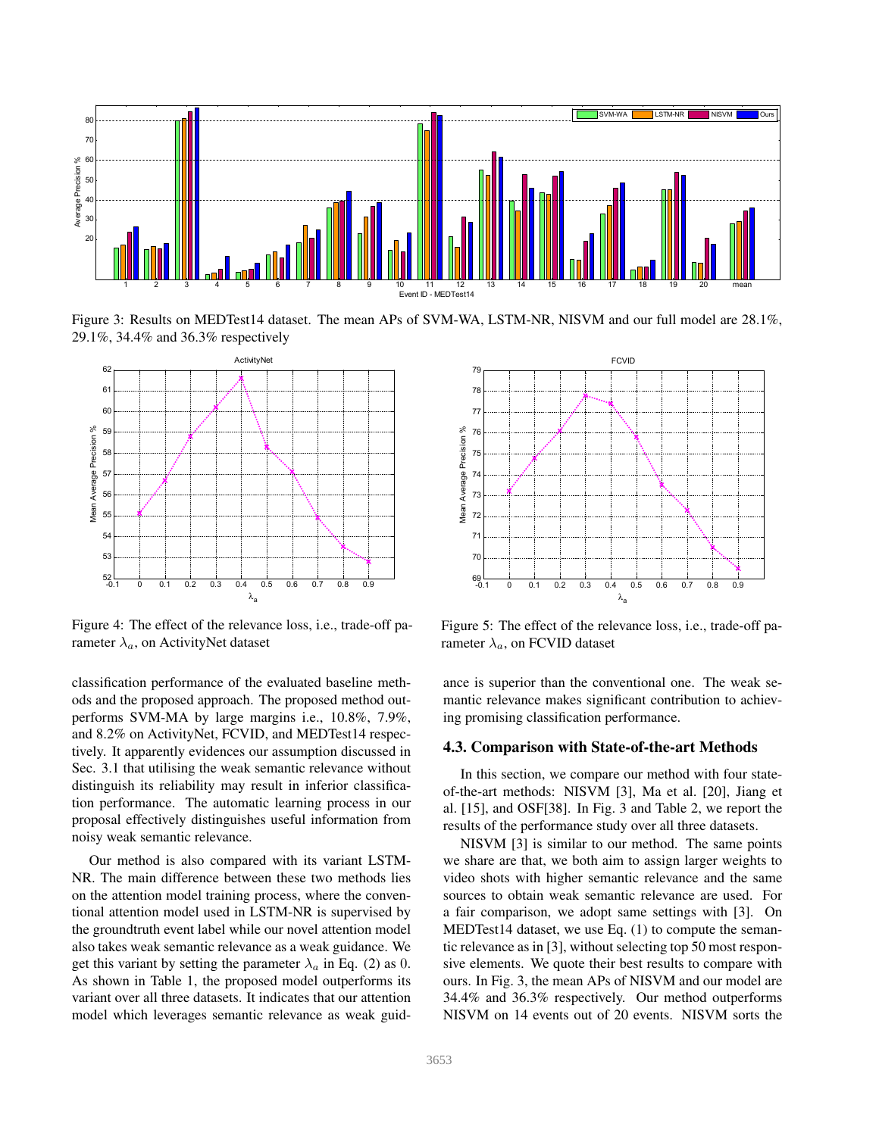

Figure 3: Results on MEDTest14 dataset. The mean APs of SVM-WA, LSTM-NR, NISVM and our full model are 28.1%, 29.1%, 34.4% and 36.3% respectively



Figure 4: The effect of the relevance loss, i.e., trade-off parameter  $\lambda_a$ , on ActivityNet dataset

classification performance of the evaluated baseline methods and the proposed approach. The proposed method outperforms SVM-MA by large margins i.e., 10.8%, 7.9%, and 8.2% on ActivityNet, FCVID, and MEDTest14 respectively. It apparently evidences our assumption discussed in Sec. 3.1 that utilising the weak semantic relevance without distinguish its reliability may result in inferior classification performance. The automatic learning process in our proposal effectively distinguishes useful information from noisy weak semantic relevance.

Our method is also compared with its variant LSTM-NR. The main difference between these two methods lies on the attention model training process, where the conventional attention model used in LSTM-NR is supervised by the groundtruth event label while our novel attention model also takes weak semantic relevance as a weak guidance. We get this variant by setting the parameter  $\lambda_a$  in Eq. (2) as 0. As shown in Table 1, the proposed model outperforms its variant over all three datasets. It indicates that our attention model which leverages semantic relevance as weak guid-



Figure 5: The effect of the relevance loss, i.e., trade-off parameter  $\lambda_a$ , on FCVID dataset

ance is superior than the conventional one. The weak semantic relevance makes significant contribution to achieving promising classification performance.

#### 4.3. Comparison with State-of-the-art Methods

In this section, we compare our method with four stateof-the-art methods: NISVM [3], Ma et al. [20], Jiang et al. [15], and OSF[38]. In Fig. 3 and Table 2, we report the results of the performance study over all three datasets.

NISVM [3] is similar to our method. The same points we share are that, we both aim to assign larger weights to video shots with higher semantic relevance and the same sources to obtain weak semantic relevance are used. For a fair comparison, we adopt same settings with [3]. On MEDTest14 dataset, we use Eq. (1) to compute the semantic relevance as in [3], without selecting top 50 most responsive elements. We quote their best results to compare with ours. In Fig. 3, the mean APs of NISVM and our model are 34.4% and 36.3% respectively. Our method outperforms NISVM on 14 events out of 20 events. NISVM sorts the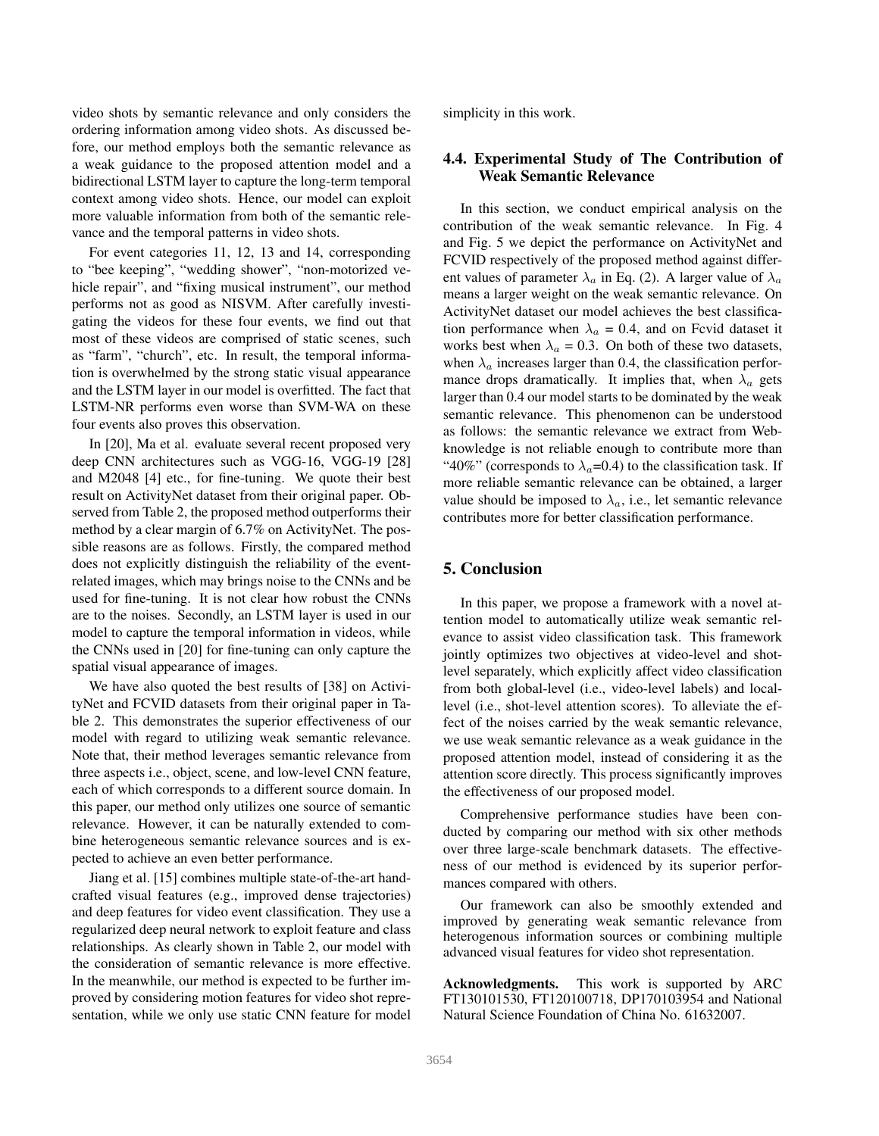video shots by semantic relevance and only considers the ordering information among video shots. As discussed before, our method employs both the semantic relevance as a weak guidance to the proposed attention model and a bidirectional LSTM layer to capture the long-term temporal context among video shots. Hence, our model can exploit more valuable information from both of the semantic relevance and the temporal patterns in video shots.

For event categories 11, 12, 13 and 14, corresponding to "bee keeping", "wedding shower", "non-motorized vehicle repair", and "fixing musical instrument", our method performs not as good as NISVM. After carefully investigating the videos for these four events, we find out that most of these videos are comprised of static scenes, such as "farm", "church", etc. In result, the temporal information is overwhelmed by the strong static visual appearance and the LSTM layer in our model is overfitted. The fact that LSTM-NR performs even worse than SVM-WA on these four events also proves this observation.

In [20], Ma et al. evaluate several recent proposed very deep CNN architectures such as VGG-16, VGG-19 [28] and M2048 [4] etc., for fine-tuning. We quote their best result on ActivityNet dataset from their original paper. Observed from Table 2, the proposed method outperforms their method by a clear margin of 6.7% on ActivityNet. The possible reasons are as follows. Firstly, the compared method does not explicitly distinguish the reliability of the eventrelated images, which may brings noise to the CNNs and be used for fine-tuning. It is not clear how robust the CNNs are to the noises. Secondly, an LSTM layer is used in our model to capture the temporal information in videos, while the CNNs used in [20] for fine-tuning can only capture the spatial visual appearance of images.

We have also quoted the best results of [38] on ActivityNet and FCVID datasets from their original paper in Table 2. This demonstrates the superior effectiveness of our model with regard to utilizing weak semantic relevance. Note that, their method leverages semantic relevance from three aspects i.e., object, scene, and low-level CNN feature, each of which corresponds to a different source domain. In this paper, our method only utilizes one source of semantic relevance. However, it can be naturally extended to combine heterogeneous semantic relevance sources and is expected to achieve an even better performance.

Jiang et al. [15] combines multiple state-of-the-art handcrafted visual features (e.g., improved dense trajectories) and deep features for video event classification. They use a regularized deep neural network to exploit feature and class relationships. As clearly shown in Table 2, our model with the consideration of semantic relevance is more effective. In the meanwhile, our method is expected to be further improved by considering motion features for video shot representation, while we only use static CNN feature for model simplicity in this work.

### 4.4. Experimental Study of The Contribution of Weak Semantic Relevance

In this section, we conduct empirical analysis on the contribution of the weak semantic relevance. In Fig. 4 and Fig. 5 we depict the performance on ActivityNet and FCVID respectively of the proposed method against different values of parameter  $\lambda_a$  in Eq. (2). A larger value of  $\lambda_a$ means a larger weight on the weak semantic relevance. On ActivityNet dataset our model achieves the best classification performance when  $\lambda_a = 0.4$ , and on Fcvid dataset it works best when  $\lambda_a = 0.3$ . On both of these two datasets, when  $\lambda_a$  increases larger than 0.4, the classification performance drops dramatically. It implies that, when  $\lambda_a$  gets larger than 0.4 our model starts to be dominated by the weak semantic relevance. This phenomenon can be understood as follows: the semantic relevance we extract from Webknowledge is not reliable enough to contribute more than "40%" (corresponds to  $\lambda_a$ =0.4) to the classification task. If more reliable semantic relevance can be obtained, a larger value should be imposed to  $\lambda_a$ , i.e., let semantic relevance contributes more for better classification performance.

### 5. Conclusion

In this paper, we propose a framework with a novel attention model to automatically utilize weak semantic relevance to assist video classification task. This framework jointly optimizes two objectives at video-level and shotlevel separately, which explicitly affect video classification from both global-level (i.e., video-level labels) and locallevel (i.e., shot-level attention scores). To alleviate the effect of the noises carried by the weak semantic relevance, we use weak semantic relevance as a weak guidance in the proposed attention model, instead of considering it as the attention score directly. This process significantly improves the effectiveness of our proposed model.

Comprehensive performance studies have been conducted by comparing our method with six other methods over three large-scale benchmark datasets. The effectiveness of our method is evidenced by its superior performances compared with others.

Our framework can also be smoothly extended and improved by generating weak semantic relevance from heterogenous information sources or combining multiple advanced visual features for video shot representation.

Acknowledgments. This work is supported by ARC FT130101530, FT120100718, DP170103954 and National Natural Science Foundation of China No. 61632007.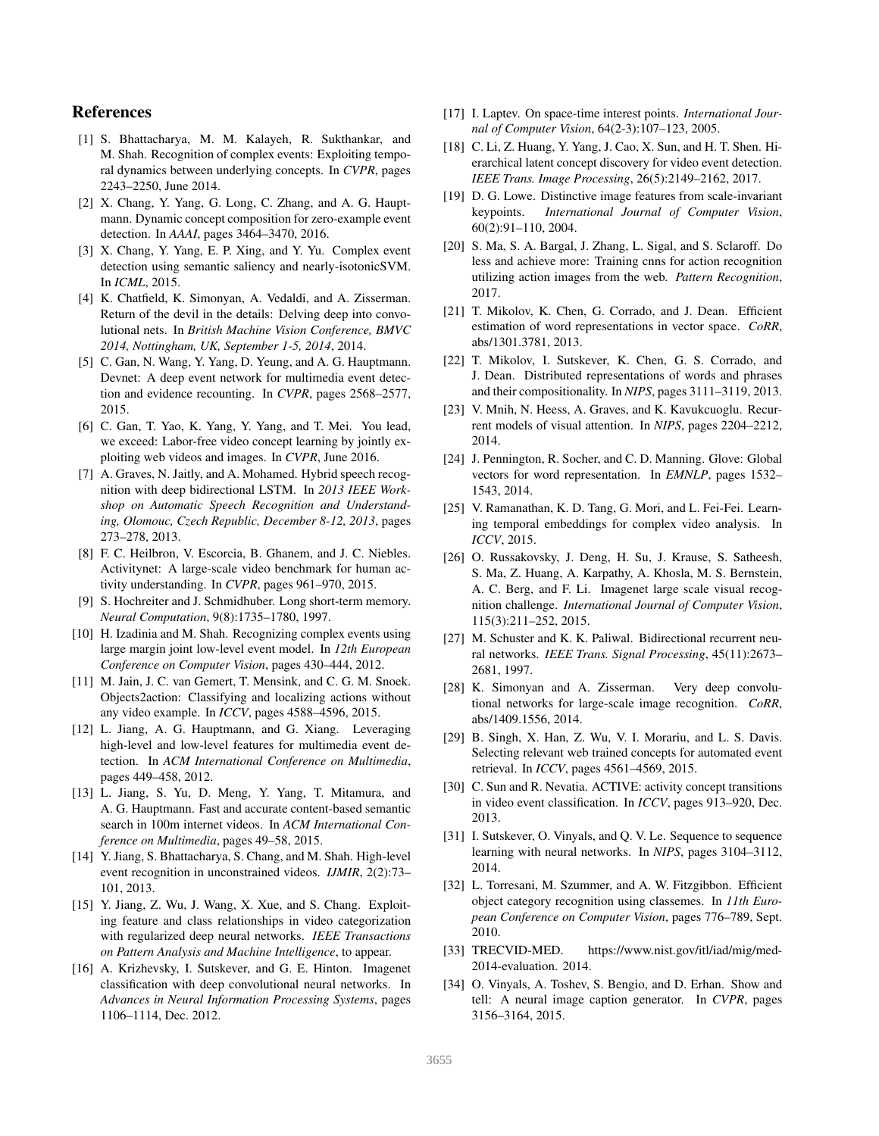# References

- [1] S. Bhattacharya, M. M. Kalayeh, R. Sukthankar, and M. Shah. Recognition of complex events: Exploiting temporal dynamics between underlying concepts. In *CVPR*, pages 2243–2250, June 2014.
- [2] X. Chang, Y. Yang, G. Long, C. Zhang, and A. G. Hauptmann. Dynamic concept composition for zero-example event detection. In *AAAI*, pages 3464–3470, 2016.
- [3] X. Chang, Y. Yang, E. P. Xing, and Y. Yu. Complex event detection using semantic saliency and nearly-isotonicSVM. In *ICML*, 2015.
- [4] K. Chatfield, K. Simonyan, A. Vedaldi, and A. Zisserman. Return of the devil in the details: Delving deep into convolutional nets. In *British Machine Vision Conference, BMVC 2014, Nottingham, UK, September 1-5, 2014*, 2014.
- [5] C. Gan, N. Wang, Y. Yang, D. Yeung, and A. G. Hauptmann. Devnet: A deep event network for multimedia event detection and evidence recounting. In *CVPR*, pages 2568–2577, 2015.
- [6] C. Gan, T. Yao, K. Yang, Y. Yang, and T. Mei. You lead, we exceed: Labor-free video concept learning by jointly exploiting web videos and images. In *CVPR*, June 2016.
- [7] A. Graves, N. Jaitly, and A. Mohamed. Hybrid speech recognition with deep bidirectional LSTM. In *2013 IEEE Workshop on Automatic Speech Recognition and Understanding, Olomouc, Czech Republic, December 8-12, 2013*, pages 273–278, 2013.
- [8] F. C. Heilbron, V. Escorcia, B. Ghanem, and J. C. Niebles. Activitynet: A large-scale video benchmark for human activity understanding. In *CVPR*, pages 961–970, 2015.
- [9] S. Hochreiter and J. Schmidhuber. Long short-term memory. *Neural Computation*, 9(8):1735–1780, 1997.
- [10] H. Izadinia and M. Shah. Recognizing complex events using large margin joint low-level event model. In *12th European Conference on Computer Vision*, pages 430–444, 2012.
- [11] M. Jain, J. C. van Gemert, T. Mensink, and C. G. M. Snoek. Objects2action: Classifying and localizing actions without any video example. In *ICCV*, pages 4588–4596, 2015.
- [12] L. Jiang, A. G. Hauptmann, and G. Xiang. Leveraging high-level and low-level features for multimedia event detection. In *ACM International Conference on Multimedia*, pages 449–458, 2012.
- [13] L. Jiang, S. Yu, D. Meng, Y. Yang, T. Mitamura, and A. G. Hauptmann. Fast and accurate content-based semantic search in 100m internet videos. In *ACM International Conference on Multimedia*, pages 49–58, 2015.
- [14] Y. Jiang, S. Bhattacharya, S. Chang, and M. Shah. High-level event recognition in unconstrained videos. *IJMIR*, 2(2):73– 101, 2013.
- [15] Y. Jiang, Z. Wu, J. Wang, X. Xue, and S. Chang. Exploiting feature and class relationships in video categorization with regularized deep neural networks. *IEEE Transactions on Pattern Analysis and Machine Intelligence*, to appear.
- [16] A. Krizhevsky, I. Sutskever, and G. E. Hinton. Imagenet classification with deep convolutional neural networks. In *Advances in Neural Information Processing Systems*, pages 1106–1114, Dec. 2012.
- [17] I. Laptev. On space-time interest points. *International Journal of Computer Vision*, 64(2-3):107–123, 2005.
- [18] C. Li, Z. Huang, Y. Yang, J. Cao, X. Sun, and H. T. Shen. Hierarchical latent concept discovery for video event detection. *IEEE Trans. Image Processing*, 26(5):2149–2162, 2017.
- [19] D. G. Lowe. Distinctive image features from scale-invariant keypoints. *International Journal of Computer Vision*, 60(2):91–110, 2004.
- [20] S. Ma, S. A. Bargal, J. Zhang, L. Sigal, and S. Sclaroff. Do less and achieve more: Training cnns for action recognition utilizing action images from the web. *Pattern Recognition*, 2017.
- [21] T. Mikolov, K. Chen, G. Corrado, and J. Dean. Efficient estimation of word representations in vector space. *CoRR*, abs/1301.3781, 2013.
- [22] T. Mikolov, I. Sutskever, K. Chen, G. S. Corrado, and J. Dean. Distributed representations of words and phrases and their compositionality. In *NIPS*, pages 3111–3119, 2013.
- [23] V. Mnih, N. Heess, A. Graves, and K. Kavukcuoglu. Recurrent models of visual attention. In *NIPS*, pages 2204–2212, 2014.
- [24] J. Pennington, R. Socher, and C. D. Manning. Glove: Global vectors for word representation. In *EMNLP*, pages 1532– 1543, 2014.
- [25] V. Ramanathan, K. D. Tang, G. Mori, and L. Fei-Fei. Learning temporal embeddings for complex video analysis. In *ICCV*, 2015.
- [26] O. Russakovsky, J. Deng, H. Su, J. Krause, S. Satheesh, S. Ma, Z. Huang, A. Karpathy, A. Khosla, M. S. Bernstein, A. C. Berg, and F. Li. Imagenet large scale visual recognition challenge. *International Journal of Computer Vision*, 115(3):211–252, 2015.
- [27] M. Schuster and K. K. Paliwal. Bidirectional recurrent neural networks. *IEEE Trans. Signal Processing*, 45(11):2673– 2681, 1997.
- [28] K. Simonyan and A. Zisserman. Very deep convolutional networks for large-scale image recognition. *CoRR*, abs/1409.1556, 2014.
- [29] B. Singh, X. Han, Z. Wu, V. I. Morariu, and L. S. Davis. Selecting relevant web trained concepts for automated event retrieval. In *ICCV*, pages 4561–4569, 2015.
- [30] C. Sun and R. Nevatia. ACTIVE: activity concept transitions in video event classification. In *ICCV*, pages 913–920, Dec. 2013.
- [31] I. Sutskever, O. Vinyals, and Q. V. Le. Sequence to sequence learning with neural networks. In *NIPS*, pages 3104–3112, 2014.
- [32] L. Torresani, M. Szummer, and A. W. Fitzgibbon. Efficient object category recognition using classemes. In *11th European Conference on Computer Vision*, pages 776–789, Sept. 2010.
- [33] TRECVID-MED. https://www.nist.gov/itl/iad/mig/med-2014-evaluation. 2014.
- [34] O. Vinyals, A. Toshev, S. Bengio, and D. Erhan. Show and tell: A neural image caption generator. In *CVPR*, pages 3156–3164, 2015.